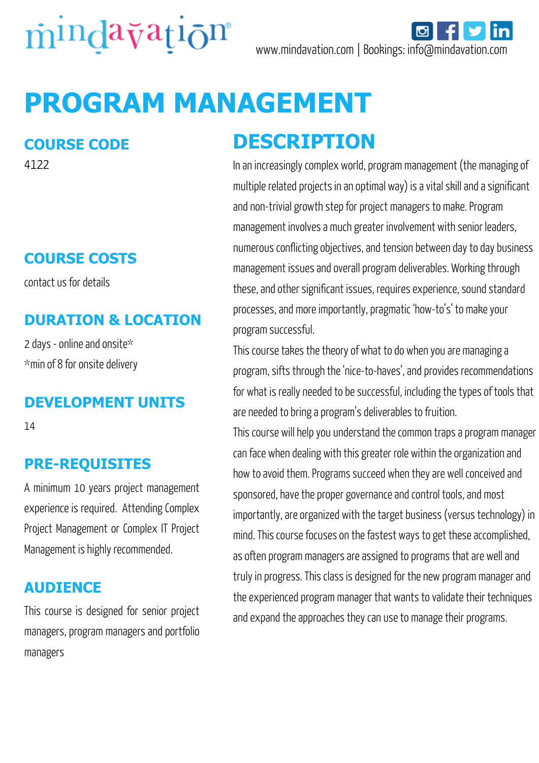

# **PROGRAM MANAGEMENT**

### **COURSE CODE**

4122

### **COURSE COSTS**

contact us for details

#### **DURATION & LOCATION**

2 days - online and onsite\* \*min of 8 for onsite delivery

#### **DEVELOPMENT UNITS**

14

#### **PRE-REQUISITES**

A minimum 10 years project management experience is required. Attending Complex Project Management or Complex IT Project Management is highly recommended.

#### **AUDIENCE**

This course is designed for senior project managers, program managers and portfolio managers

### **DESCRIPTION**

In an increasingly complex world, program management (the managing of multiple related projects in an optimal way) is a vital skill and a significant and non-trivial growth step for project managers to make. Program management involves a much greater involvement with senior leaders, numerous conflicting objectives, and tension between day to day business management issues and overall program deliverables. Working through these, and other significant issues, requires experience, sound standard processes, and more importantly, pragmatic 'how-to's' to make your program successful.

This course takes the theory of what to do when you are managing a program, sifts through the 'nice-to-haves', and provides recommendations for what is really needed to be successful, including the types of tools that are needed to bring a program's deliverables to fruition.

This course will help you understand the common traps a program manager can face when dealing with this greater role within the organization and how to avoid them. Programs succeed when they are well conceived and sponsored, have the proper governance and control tools, and most importantly, are organized with the target business (versus technology) in mind. This course focuses on the fastest ways to get these accomplished, as often program managers are assigned to programs that are well and truly in progress. This class is designed for the new program manager and the experienced program manager that wants to validate their techniques and expand the approaches they can use to manage their programs.